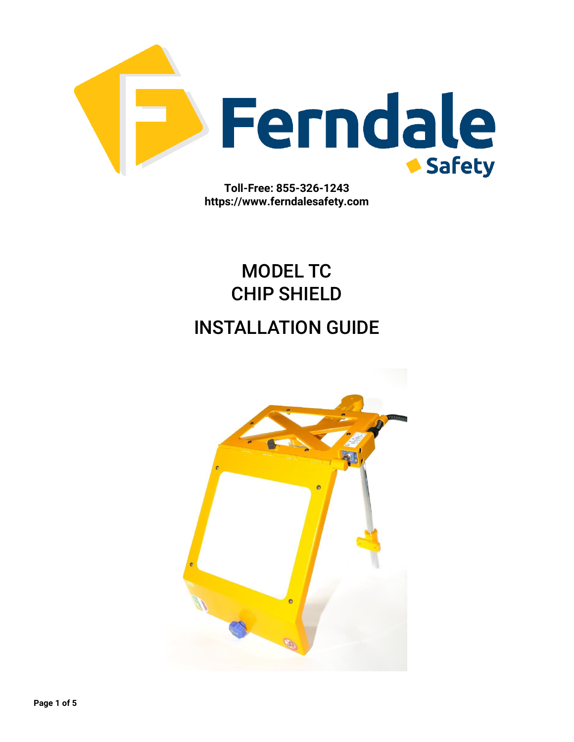

**Toll-Free: 855-326-1243 https://www.ferndalesafety.com**

# MODEL TC CHIP SHIELD

## INSTALLATION GUIDE

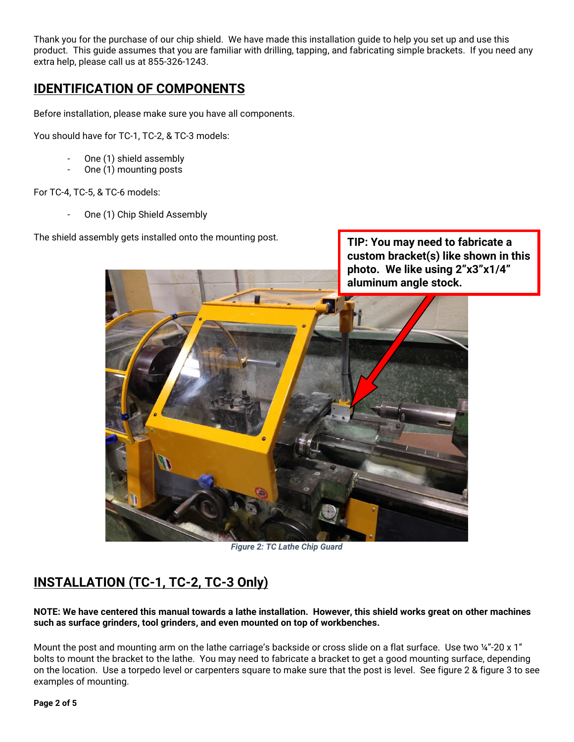Thank you for the purchase of our chip shield. We have made this installation guide to help you set up and use this product. This guide assumes that you are familiar with drilling, tapping, and fabricating simple brackets. If you need any extra help, please call us at 855-326-1243.

#### **IDENTIFICATION OF COMPONENTS**

Before installation, please make sure you have all components.

You should have for TC-1, TC-2, & TC-3 models:

- One (1) shield assembly
- One (1) mounting posts

For TC-4, TC-5, & TC-6 models:

One (1) Chip Shield Assembly

The shield assembly gets installed onto the mounting post.



**TIP: You may need to fabricate a** 

*Figure 2: TC Lathe Chip Guard*

### **INSTALLATION (TC-1, TC-2, TC-3 Only)**

**NOTE: We have centered this manual towards a lathe installation. However, this shield works great on other machines such as surface grinders, tool grinders, and even mounted on top of workbenches.**

Mount the post and mounting arm on the lathe carriage's backside or cross slide on a flat surface. Use two ¼"-20 x 1" bolts to mount the bracket to the lathe. You may need to fabricate a bracket to get a good mounting surface, depending on the location. Use a torpedo level or carpenters square to make sure that the post is level. See figure 2 & figure 3 to see examples of mounting.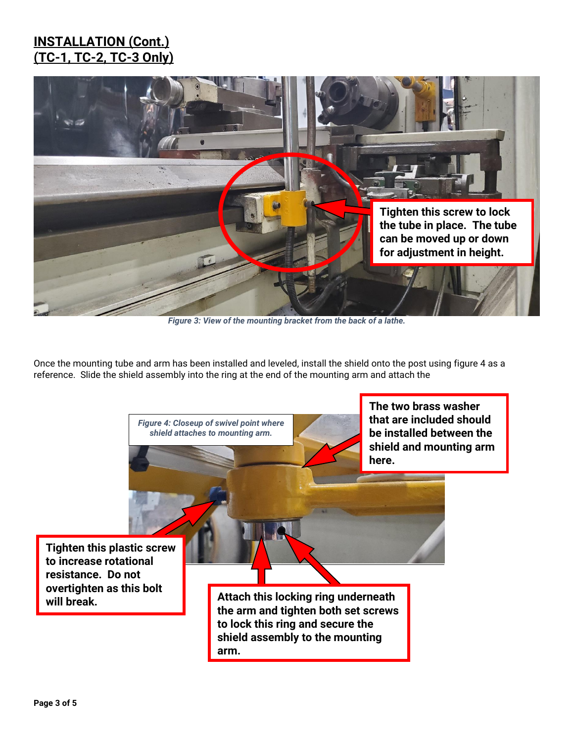#### **INSTALLATION (Cont.) (TC-1, TC-2, TC-3 Only)**



*Figure 3: View of the mounting bracket from the back of a lathe.*

Once the mounting tube and arm has been installed and leveled, install the shield onto the post using figure 4 as a reference. Slide the shield assembly into the ring at the end of the mounting arm and attach the

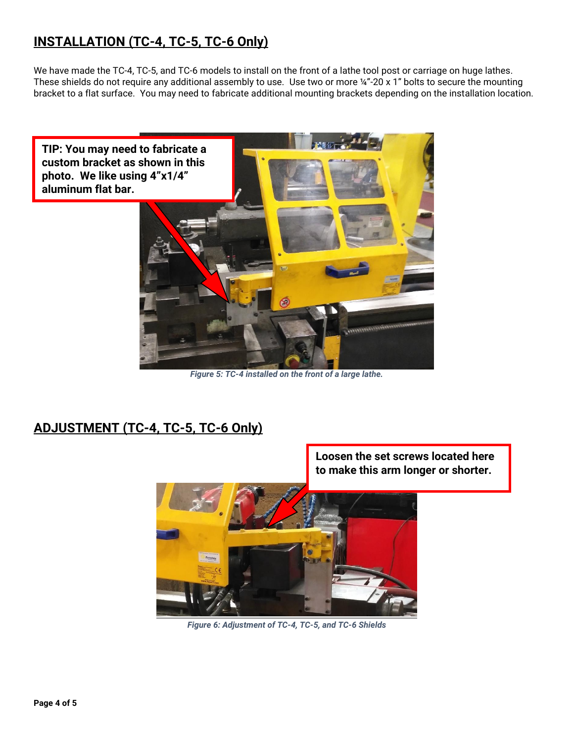## **INSTALLATION (TC-4, TC-5, TC-6 Only)**

We have made the TC-4, TC-5, and TC-6 models to install on the front of a lathe tool post or carriage on huge lathes. These shields do not require any additional assembly to use. Use two or more ¼"-20 x 1" bolts to secure the mounting bracket to a flat surface. You may need to fabricate additional mounting brackets depending on the installation location.



*Figure 5: TC-4 installed on the front of a large lathe.*

#### **ADJUSTMENT (TC-4, TC-5, TC-6 Only)**



*Figure 6: Adjustment of TC-4, TC-5, and TC-6 Shields*

**Loosen the set screws located here to make this arm longer or shorter.**